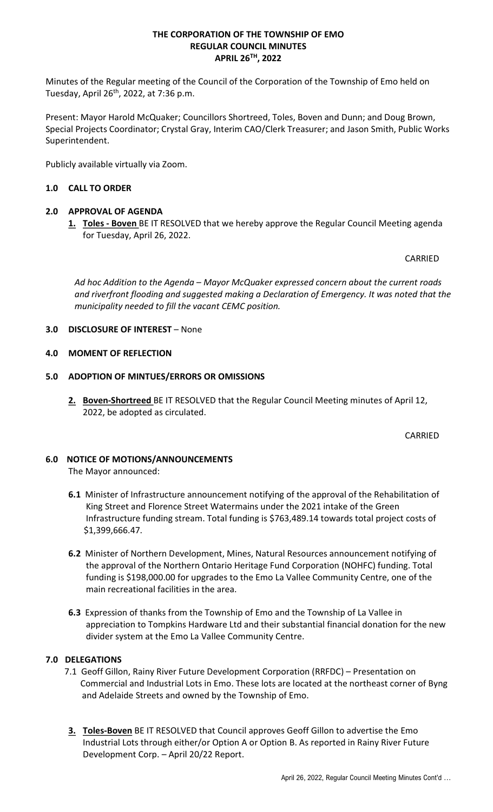#### April 26, 2022, Regular Council Meeting Minutes Cont'd …

## THE CORPORATION OF THE TOWNSHIP OF EMO REGULAR COUNCIL MINUTES APRIL 26TH, 2022

Minutes of the Regular meeting of the Council of the Corporation of the Township of Emo held on Tuesday, April 26<sup>th</sup>, 2022, at 7:36 p.m.

Present: Mayor Harold McQuaker; Councillors Shortreed, Toles, Boven and Dunn; and Doug Brown, Special Projects Coordinator; Crystal Gray, Interim CAO/Clerk Treasurer; and Jason Smith, Public Works Superintendent.

Publicly available virtually via Zoom.

# 1.0 CALL TO ORDER

# 2.0 APPROVAL OF AGENDA

1. Toles - Boven BE IT RESOLVED that we hereby approve the Regular Council Meeting agenda for Tuesday, April 26, 2022.

## CARRIED

Ad hoc Addition to the Agenda – Mayor McQuaker expressed concern about the current roads and riverfront flooding and suggested making a Declaration of Emergency. It was noted that the municipality needed to fill the vacant CEMC position.

# 3.0 DISCLOSURE OF INTEREST – None

# 4.0 MOMENT OF REFLECTION

# 5.0 ADOPTION OF MINTUES/ERRORS OR OMISSIONS

2. Boven-Shortreed BE IT RESOLVED that the Regular Council Meeting minutes of April 12, 2022, be adopted as circulated.

CARRIED

# 6.0 NOTICE OF MOTIONS/ANNOUNCEMENTS

The Mayor announced:

- 6.1 Minister of Infrastructure announcement notifying of the approval of the Rehabilitation of King Street and Florence Street Watermains under the 2021 intake of the Green Infrastructure funding stream. Total funding is \$763,489.14 towards total project costs of \$1,399,666.47.
- 6.2 Minister of Northern Development, Mines, Natural Resources announcement notifying of the approval of the Northern Ontario Heritage Fund Corporation (NOHFC) funding. Total funding is \$198,000.00 for upgrades to the Emo La Vallee Community Centre, one of the main recreational facilities in the area.
- 6.3 Expression of thanks from the Township of Emo and the Township of La Vallee in appreciation to Tompkins Hardware Ltd and their substantial financial donation for the new divider system at the Emo La Vallee Community Centre.

## 7.0 DELEGATIONS

- 7.1 Geoff Gillon, Rainy River Future Development Corporation (RRFDC) Presentation on Commercial and Industrial Lots in Emo. These lots are located at the northeast corner of Byng and Adelaide Streets and owned by the Township of Emo.
- 3. Toles-Boven BE IT RESOLVED that Council approves Geoff Gillon to advertise the Emo Industrial Lots through either/or Option A or Option B. As reported in Rainy River Future Development Corp. – April 20/22 Report.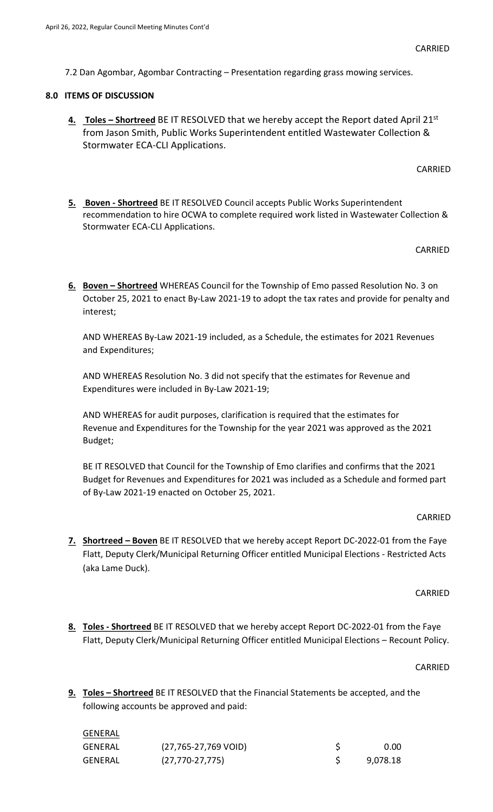7.2 Dan Agombar, Agombar Contracting – Presentation regarding grass mowing services.

## 8.0 ITEMS OF DISCUSSION

4. Toles – Shortreed BE IT RESOLVED that we hereby accept the Report dated April 21st from Jason Smith, Public Works Superintendent entitled Wastewater Collection & Stormwater ECA-CLI Applications.

**CARRIED** 

5. Boven - Shortreed BE IT RESOLVED Council accepts Public Works Superintendent recommendation to hire OCWA to complete required work listed in Wastewater Collection & Stormwater ECA-CLI Applications.

CARRIED

6. Boven – Shortreed WHEREAS Council for the Township of Emo passed Resolution No. 3 on October 25, 2021 to enact By-Law 2021-19 to adopt the tax rates and provide for penalty and interest;

AND WHEREAS By-Law 2021-19 included, as a Schedule, the estimates for 2021 Revenues and Expenditures;

AND WHEREAS Resolution No. 3 did not specify that the estimates for Revenue and Expenditures were included in By-Law 2021-19;

AND WHEREAS for audit purposes, clarification is required that the estimates for Revenue and Expenditures for the Township for the year 2021 was approved as the 2021 Budget;

BE IT RESOLVED that Council for the Township of Emo clarifies and confirms that the 2021 Budget for Revenues and Expenditures for 2021 was included as a Schedule and formed part of By-Law 2021-19 enacted on October 25, 2021.

## CARRIED

7. Shortreed – Boven BE IT RESOLVED that we hereby accept Report DC-2022-01 from the Faye Flatt, Deputy Clerk/Municipal Returning Officer entitled Municipal Elections - Restricted Acts (aka Lame Duck).

#### CARRIED

8. Toles - Shortreed BE IT RESOLVED that we hereby accept Report DC-2022-01 from the Faye Flatt, Deputy Clerk/Municipal Returning Officer entitled Municipal Elections – Recount Policy.

## **CARRIED**

April 12, 2022, Regular Council Meeting Minutes Cont'd…

9. Toles – Shortreed BE IT RESOLVED that the Financial Statements be accepted, and the following accounts be approved and paid:

| GENERAL |                       |          |
|---------|-----------------------|----------|
| GENERAL | (27,765-27,769 VOID)  | 0.00     |
| GENERAL | $(27, 770 - 27, 775)$ | 9,078.18 |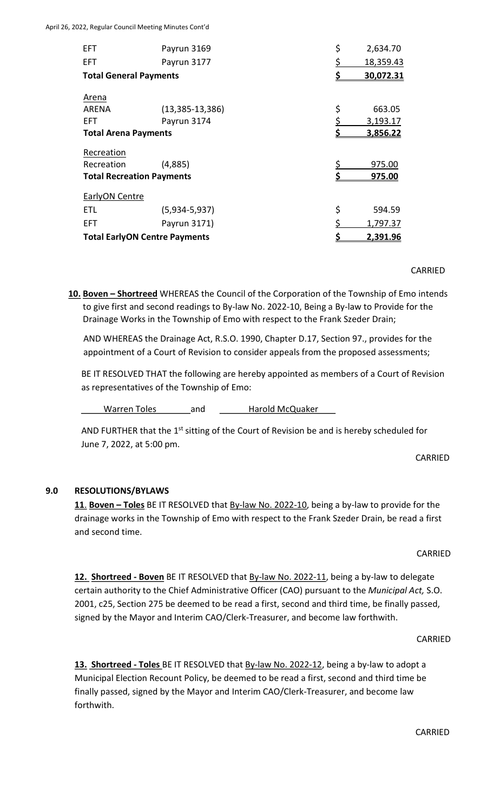| <b>EFT</b>                           | Payrun 3169           | \$ | 2,634.70  |
|--------------------------------------|-----------------------|----|-----------|
| EFT.                                 | Payrun 3177           | Ś  | 18,359.43 |
| <b>Total General Payments</b>        |                       | \$ | 30,072.31 |
| Arena                                |                       |    |           |
| ARENA                                | $(13, 385 - 13, 386)$ | \$ | 663.05    |
| EFT.                                 | Payrun 3174           | ς  | 3,193.17  |
| <b>Total Arena Payments</b>          |                       | \$ | 3,856.22  |
| Recreation                           |                       |    |           |
| Recreation                           | (4,885)               | \$ | 975.00    |
| <b>Total Recreation Payments</b>     |                       |    | 975.00    |
| EarlyON Centre                       |                       |    |           |
| ETL                                  | $(5,934-5,937)$       | \$ | 594.59    |
| <b>EFT</b>                           | Payrun 3171)          | \$ | 1,797.37  |
| <b>Total EarlyON Centre Payments</b> |                       | \$ | 2,391.96  |

CARRIED

10. Boven - Shortreed WHEREAS the Council of the Corporation of the Township of Emo intends to give first and second readings to By-law No. 2022-10, Being a By-law to Provide for the Drainage Works in the Township of Emo with respect to the Frank Szeder Drain;

 AND WHEREAS the Drainage Act, R.S.O. 1990, Chapter D.17, Section 97., provides for the appointment of a Court of Revision to consider appeals from the proposed assessments;

 BE IT RESOLVED THAT the following are hereby appointed as members of a Court of Revision as representatives of the Township of Emo:

Warren Toles \_\_\_\_\_\_\_\_ and \_\_\_\_\_\_\_\_\_\_ Harold McQuaker

AND FURTHER that the  $1<sup>st</sup>$  sitting of the Court of Revision be and is hereby scheduled for June 7, 2022, at 5:00 pm.

CARRIED

## 9.0 RESOLUTIONS/BYLAWS

11. Boven - Toles BE IT RESOLVED that By-law No. 2022-10, being a by-law to provide for the drainage works in the Township of Emo with respect to the Frank Szeder Drain, be read a first and second time.

CARRIED

12. Shortreed - Boven BE IT RESOLVED that By-law No. 2022-11, being a by-law to delegate certain authority to the Chief Administrative Officer (CAO) pursuant to the Municipal Act, S.O. 2001, c25, Section 275 be deemed to be read a first, second and third time, be finally passed, signed by the Mayor and Interim CAO/Clerk-Treasurer, and become law forthwith.

CARRIED

13. Shortreed - Toles BE IT RESOLVED that By-law No. 2022-12, being a by-law to adopt a Municipal Election Recount Policy, be deemed to be read a first, second and third time be finally passed, signed by the Mayor and Interim CAO/Clerk-Treasurer, and become law forthwith.